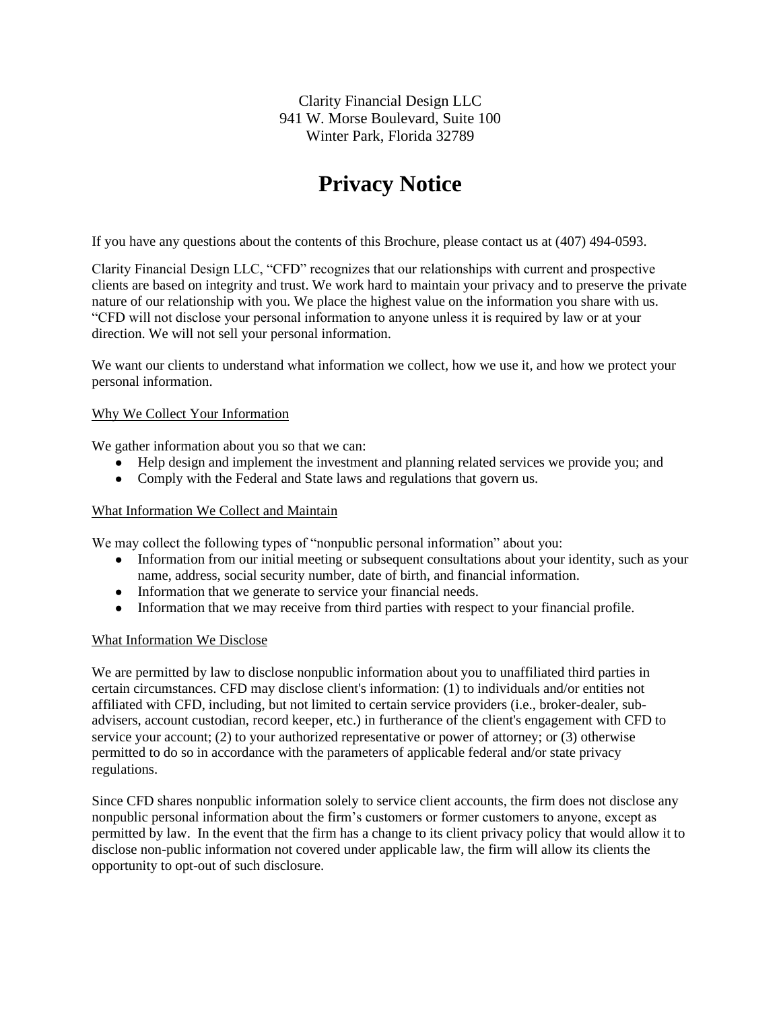Clarity Financial Design LLC 941 W. Morse Boulevard, Suite 100 Winter Park, Florida 32789

# **Privacy Notice**

If you have any questions about the contents of this Brochure, please contact us at (407) 494-0593.

Clarity Financial Design LLC, "CFD" recognizes that our relationships with current and prospective clients are based on integrity and trust. We work hard to maintain your privacy and to preserve the private nature of our relationship with you. We place the highest value on the information you share with us. "CFD will not disclose your personal information to anyone unless it is required by law or at your direction. We will not sell your personal information.

We want our clients to understand what information we collect, how we use it, and how we protect your personal information.

## Why We Collect Your Information

We gather information about you so that we can:

- Help design and implement the investment and planning related services we provide you; and
- Comply with the Federal and State laws and regulations that govern us.

## What Information We Collect and Maintain

We may collect the following types of "nonpublic personal information" about you:

- Information from our initial meeting or subsequent consultations about your identity, such as your name, address, social security number, date of birth, and financial information.
- Information that we generate to service your financial needs.
- Information that we may receive from third parties with respect to your financial profile.

## What Information We Disclose

We are permitted by law to disclose nonpublic information about you to unaffiliated third parties in certain circumstances. CFD may disclose client's information: (1) to individuals and/or entities not affiliated with CFD, including, but not limited to certain service providers (i.e., broker-dealer, subadvisers, account custodian, record keeper, etc.) in furtherance of the client's engagement with CFD to service your account; (2) to your authorized representative or power of attorney; or (3) otherwise permitted to do so in accordance with the parameters of applicable federal and/or state privacy regulations.

Since CFD shares nonpublic information solely to service client accounts, the firm does not disclose any nonpublic personal information about the firm's customers or former customers to anyone, except as permitted by law. In the event that the firm has a change to its client privacy policy that would allow it to disclose non-public information not covered under applicable law, the firm will allow its clients the opportunity to opt-out of such disclosure.